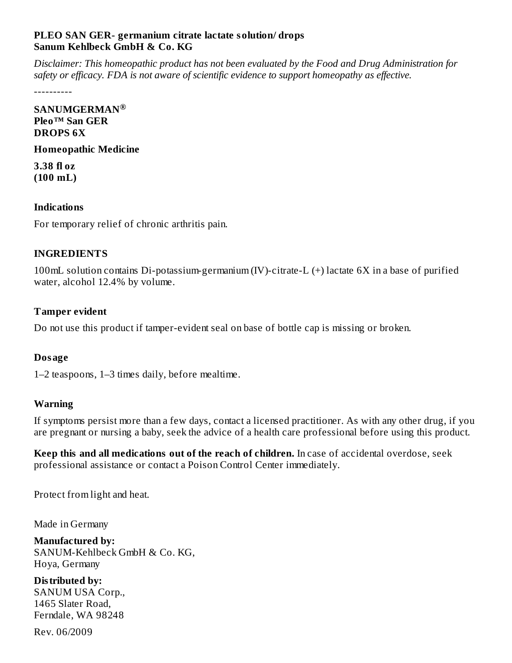### **PLEO SAN GER- germanium citrate lactate solution/ drops Sanum Kehlbeck GmbH & Co. KG**

*Disclaimer: This homeopathic product has not been evaluated by the Food and Drug Administration for safety or efficacy. FDA is not aware of scientific evidence to support homeopathy as effective.*

----------

**SANUMGERMAN ®Pleo™ San GER DROPS 6X**

#### **Homeopathic Medicine**

**3.38 fl oz (100 mL)**

#### **Indications**

For temporary relief of chronic arthritis pain.

### **INGREDIENTS**

100mL solution contains Di-potassium-germanium (IV)-citrate-L (+) lactate 6X in a base of purified water, alcohol 12.4% by volume.

## **Tamper evident**

Do not use this product if tamper-evident seal on base of bottle cap is missing or broken.

## **Dosage**

1–2 teaspoons, 1–3 times daily, before mealtime.

## **Warning**

If symptoms persist more than a few days, contact a licensed practitioner. As with any other drug, if you are pregnant or nursing a baby, seek the advice of a health care professional before using this product.

**Keep this and all medications out of the reach of children.** In case of accidental overdose, seek professional assistance or contact a Poison Control Center immediately.

Protect from light and heat.

Made in Germany

**Manufactured by:** SANUM-Kehlbeck GmbH & Co. KG, Hoya, Germany

**Distributed by:** SANUM USA Corp., 1465 Slater Road, Ferndale, WA 98248

Rev. 06/2009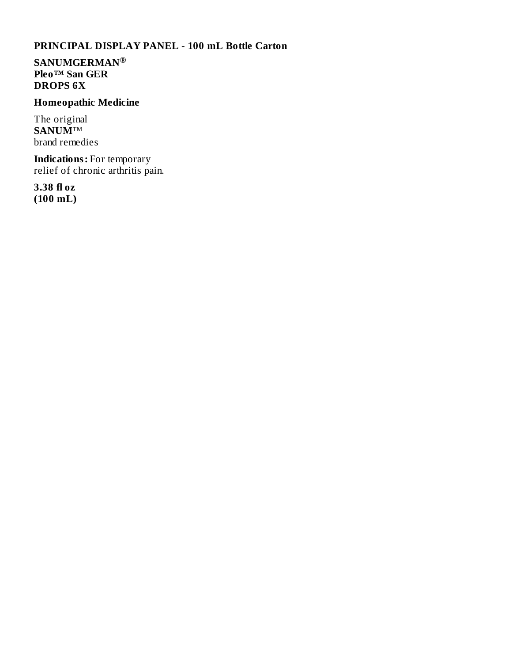## **PRINCIPAL DISPLAY PANEL - 100 mL Bottle Carton**

**SANUMGERMAN ®Pleo™ San GER DROPS 6X**

# **Homeopathic Medicine**

The original **SANUM**™ brand remedies

**Indications:** For temporary relief of chronic arthritis pain.

**3.38 fl oz (100 mL)**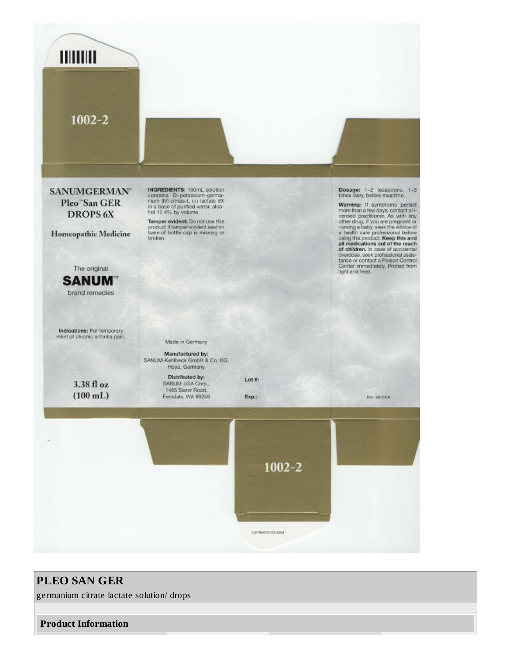

# **PLEO SAN GER**

germanium citrate lactate solution/ drops

#### **Product Information**